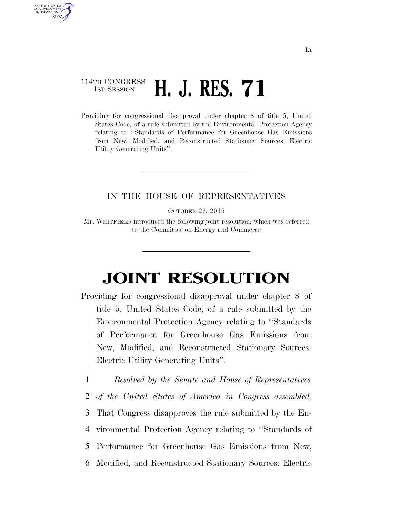## 114TH CONGRESS **1ST SESSION H. J. RES. 71**

AUTHENTICATED U.S. GOVERNMENT **GPO** 

> Providing for congressional disapproval under chapter 8 of title 5, United States Code, of a rule submitted by the Environmental Protection Agency relating to ''Standards of Performance for Greenhouse Gas Emissions from New, Modified, and Reconstructed Stationary Sources: Electric Utility Generating Units''.

## IN THE HOUSE OF REPRESENTATIVES

OCTOBER 26, 2015

Mr. WHITFIELD introduced the following joint resolution; which was referred to the Committee on Energy and Commerce

## **JOINT RESOLUTION**

- Providing for congressional disapproval under chapter 8 of title 5, United States Code, of a rule submitted by the Environmental Protection Agency relating to ''Standards of Performance for Greenhouse Gas Emissions from New, Modified, and Reconstructed Stationary Sources: Electric Utility Generating Units''.
	- 1 *Resolved by the Senate and House of Representatives*
	- 2 *of the United States of America in Congress assembled,*
	- 3 That Congress disapproves the rule submitted by the En-
	- 4 vironmental Protection Agency relating to ''Standards of
	- 5 Performance for Greenhouse Gas Emissions from New,
	- 6 Modified, and Reconstructed Stationary Sources: Electric